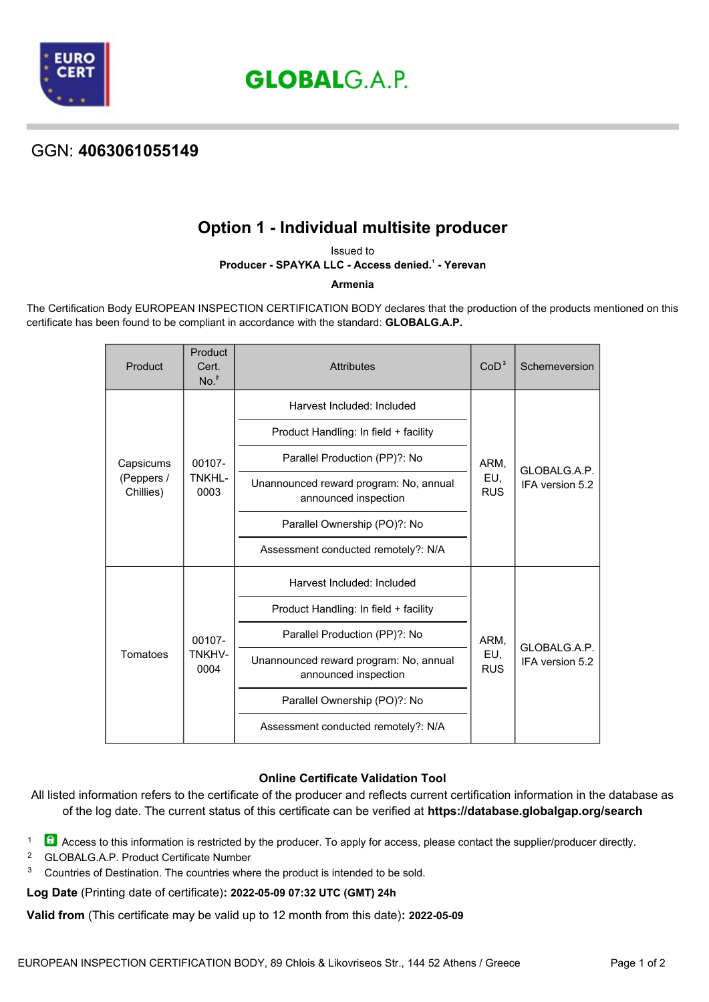

**GLOBALG.A.P.** 

## GGN: **4063061055149**

# **Option 1 - Individual multisite producer**

Issued to **Producer - SPAYKA LLC - Access denied.<sup>1</sup> - Yerevan** 

### **Armenia**

The Certification Body EUROPEAN INSPECTION CERTIFICATION BODY declares that the production of the products mentioned on this certificate has been found to be compliant in accordance with the standard: **GLOBALG.A.P.**

| Product                              | Product<br>Cert.<br>No. <sup>2</sup> | <b>Attributes</b>                                              | CoD <sup>3</sup>          | Schemeversion                   |
|--------------------------------------|--------------------------------------|----------------------------------------------------------------|---------------------------|---------------------------------|
| Capsicums<br>(Peppers /<br>Chillies) | 00107-<br>TNKHL-<br>0003             | Harvest Included: Included                                     | ARM,<br>EU,<br><b>RUS</b> | GLOBALG.A.P.<br>IFA version 5.2 |
|                                      |                                      | Product Handling: In field + facility                          |                           |                                 |
|                                      |                                      | Parallel Production (PP)?: No                                  |                           |                                 |
|                                      |                                      | Unannounced reward program: No, annual<br>announced inspection |                           |                                 |
|                                      |                                      | Parallel Ownership (PO)?: No                                   |                           |                                 |
|                                      |                                      | Assessment conducted remotely?: N/A                            |                           |                                 |
| Tomatoes                             | 00107-<br><b>TNKHV-</b><br>0004      | Harvest Included: Included                                     | ARM.<br>EU,<br><b>RUS</b> | GLOBALG.A.P.<br>IFA version 5.2 |
|                                      |                                      | Product Handling: In field + facility                          |                           |                                 |
|                                      |                                      | Parallel Production (PP)?: No                                  |                           |                                 |
|                                      |                                      | Unannounced reward program: No, annual<br>announced inspection |                           |                                 |
|                                      |                                      | Parallel Ownership (PO)?: No                                   |                           |                                 |
|                                      |                                      | Assessment conducted remotely?: N/A                            |                           |                                 |

### **Online Certificate Validation Tool**

All listed information refers to the certificate of the producer and reflects current certification information in the database as of the log date. The current status of this certificate can be verified at **[https://database.globalgap.org/search](https://database.globalgap.org/globalgap/search/SearchMain.faces)**

1 Access to this information is restricted by the producer. To apply for access, please contact the supplier/producer directly.

- <sup>2</sup> GLOBALG.A.P. Product Certificate Number
- <sup>3</sup> Countries of Destination. The countries where the product is intended to be sold.

**Log Date** (Printing date of certificate)**: 2022-05-09 07:32 UTC (GMT) 24h**

**Valid from** (This certificate may be valid up to 12 month from this date)**: 2022-05-09**